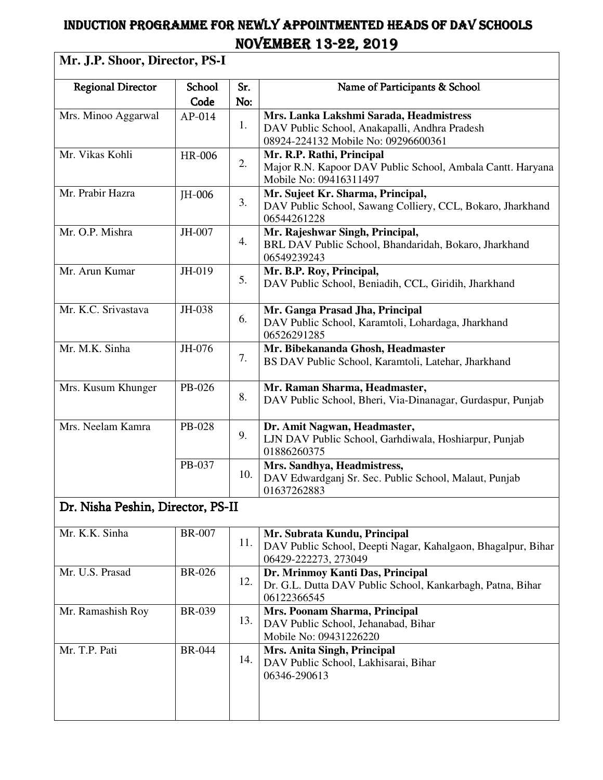## INDUCTION PROGRAMME FOR NEWLY APPOINTMENTED HEADS OF DAV SCHOOLS NOVEMBER NOVEMBER13-22, 2019

## **Mr. J.P. Shoor, Director, PS-I**

| <b>Regional Director</b>          | School        | Sr. | Name of Participants & School                                                        |  |  |
|-----------------------------------|---------------|-----|--------------------------------------------------------------------------------------|--|--|
|                                   | Code          | No: |                                                                                      |  |  |
| Mrs. Minoo Aggarwal               | $AP-014$      | 1.  | Mrs. Lanka Lakshmi Sarada, Headmistress                                              |  |  |
|                                   |               |     | DAV Public School, Anakapalli, Andhra Pradesh                                        |  |  |
|                                   |               |     | 08924-224132 Mobile No: 09296600361                                                  |  |  |
| Mr. Vikas Kohli                   | HR-006        | 2.  | Mr. R.P. Rathi, Principal                                                            |  |  |
|                                   |               |     | Major R.N. Kapoor DAV Public School, Ambala Cantt. Haryana                           |  |  |
| Mr. Prabir Hazra                  |               |     | Mobile No: 09416311497                                                               |  |  |
|                                   | JH-006        | 3.  | Mr. Sujeet Kr. Sharma, Principal,                                                    |  |  |
|                                   |               |     | DAV Public School, Sawang Colliery, CCL, Bokaro, Jharkhand<br>06544261228            |  |  |
| Mr. O.P. Mishra                   | JH-007        |     | Mr. Rajeshwar Singh, Principal,                                                      |  |  |
|                                   |               | 4.  | BRL DAV Public School, Bhandaridah, Bokaro, Jharkhand                                |  |  |
|                                   |               |     | 06549239243                                                                          |  |  |
| Mr. Arun Kumar                    | JH-019        |     | Mr. B.P. Roy, Principal,                                                             |  |  |
|                                   |               | 5.  | DAV Public School, Beniadih, CCL, Giridih, Jharkhand                                 |  |  |
|                                   |               |     |                                                                                      |  |  |
| Mr. K.C. Srivastava               | JH-038        |     | Mr. Ganga Prasad Jha, Principal                                                      |  |  |
|                                   |               | 6.  | DAV Public School, Karamtoli, Lohardaga, Jharkhand                                   |  |  |
|                                   |               |     | 06526291285                                                                          |  |  |
| Mr. M.K. Sinha                    | JH-076        |     | Mr. Bibekananda Ghosh, Headmaster                                                    |  |  |
|                                   |               | 7.  | BS DAV Public School, Karamtoli, Latehar, Jharkhand                                  |  |  |
|                                   |               |     |                                                                                      |  |  |
| Mrs. Kusum Khunger                | PB-026        |     | Mr. Raman Sharma, Headmaster,                                                        |  |  |
|                                   |               | 8.  | DAV Public School, Bheri, Via-Dinanagar, Gurdaspur, Punjab                           |  |  |
|                                   |               |     |                                                                                      |  |  |
| Mrs. Neelam Kamra                 | PB-028        | 9.  | Dr. Amit Nagwan, Headmaster,                                                         |  |  |
|                                   |               |     | LJN DAV Public School, Garhdiwala, Hoshiarpur, Punjab<br>01886260375                 |  |  |
|                                   | PB-037        |     |                                                                                      |  |  |
|                                   |               | 10. | Mrs. Sandhya, Headmistress,<br>DAV Edwardganj Sr. Sec. Public School, Malaut, Punjab |  |  |
|                                   |               |     | 01637262883                                                                          |  |  |
|                                   |               |     |                                                                                      |  |  |
| Dr. Nisha Peshin, Director, PS-II |               |     |                                                                                      |  |  |
| Mr. K.K. Sinha                    | <b>BR-007</b> |     | Mr. Subrata Kundu, Principal                                                         |  |  |
|                                   |               | 11. | DAV Public School, Deepti Nagar, Kahalgaon, Bhagalpur, Bihar                         |  |  |
|                                   |               |     | 06429-222273, 273049                                                                 |  |  |
| Mr. U.S. Prasad                   | <b>BR-026</b> |     | Dr. Mrinmoy Kanti Das, Principal                                                     |  |  |
|                                   |               | 12. | Dr. G.L. Dutta DAV Public School, Kankarbagh, Patna, Bihar                           |  |  |
|                                   |               |     | 06122366545                                                                          |  |  |
| Mr. Ramashish Roy                 | <b>BR-039</b> |     | Mrs. Poonam Sharma, Principal                                                        |  |  |
|                                   |               | 13. | DAV Public School, Jehanabad, Bihar                                                  |  |  |
|                                   |               |     | Mobile No: 09431226220                                                               |  |  |
| Mr. T.P. Pati                     | <b>BR-044</b> |     | Mrs. Anita Singh, Principal                                                          |  |  |
|                                   |               | 14. | DAV Public School, Lakhisarai, Bihar                                                 |  |  |
|                                   |               |     | 06346-290613                                                                         |  |  |
|                                   |               |     |                                                                                      |  |  |
|                                   |               |     |                                                                                      |  |  |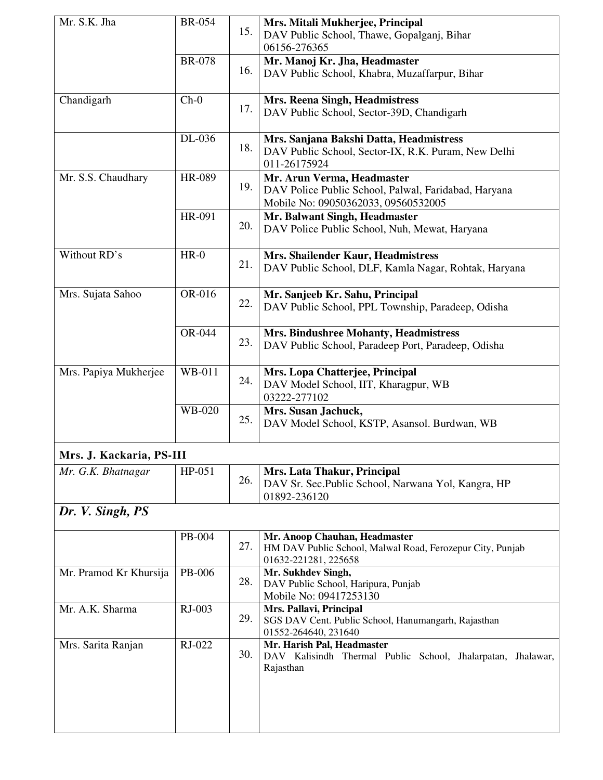| Mr. S.K. Jha             | <b>BR-054</b> | 15. | Mrs. Mitali Mukherjee, Principal<br>DAV Public School, Thawe, Gopalganj, Bihar<br>06156-276365                            |
|--------------------------|---------------|-----|---------------------------------------------------------------------------------------------------------------------------|
|                          | <b>BR-078</b> | 16. | Mr. Manoj Kr. Jha, Headmaster<br>DAV Public School, Khabra, Muzaffarpur, Bihar                                            |
| Chandigarh               | $Ch-0$        | 17. | Mrs. Reena Singh, Headmistress<br>DAV Public School, Sector-39D, Chandigarh                                               |
|                          | DL-036        | 18. | Mrs. Sanjana Bakshi Datta, Headmistress<br>DAV Public School, Sector-IX, R.K. Puram, New Delhi<br>011-26175924            |
| Mr. S.S. Chaudhary       | HR-089        | 19. | Mr. Arun Verma, Headmaster<br>DAV Police Public School, Palwal, Faridabad, Haryana<br>Mobile No: 09050362033, 09560532005 |
|                          | HR-091        | 20. | Mr. Balwant Singh, Headmaster<br>DAV Police Public School, Nuh, Mewat, Haryana                                            |
| Without RD's             | $HR-0$        | 21. | Mrs. Shailender Kaur, Headmistress<br>DAV Public School, DLF, Kamla Nagar, Rohtak, Haryana                                |
| Mrs. Sujata Sahoo        | OR-016        | 22. | Mr. Sanjeeb Kr. Sahu, Principal<br>DAV Public School, PPL Township, Paradeep, Odisha                                      |
|                          | OR-044        | 23. | <b>Mrs. Bindushree Mohanty, Headmistress</b><br>DAV Public School, Paradeep Port, Paradeep, Odisha                        |
| Mrs. Papiya Mukherjee    | WB-011        | 24. | Mrs. Lopa Chatterjee, Principal<br>DAV Model School, IIT, Kharagpur, WB<br>03222-277102                                   |
|                          | WB-020        | 25. | Mrs. Susan Jachuck,<br>DAV Model School, KSTP, Asansol. Burdwan, WB                                                       |
| Mrs. J. Kackaria, PS-III |               |     |                                                                                                                           |
| Mr. G.K. Bhatnagar       | HP-051        | 26. | Mrs. Lata Thakur, Principal<br>DAV Sr. Sec. Public School, Narwana Yol, Kangra, HP<br>01892-236120                        |
| Dr. V. Singh, PS         |               |     |                                                                                                                           |
|                          | PB-004        | 27. | Mr. Anoop Chauhan, Headmaster<br>HM DAV Public School, Malwal Road, Ferozepur City, Punjab<br>01632-221281, 225658        |
| Mr. Pramod Kr Khursija   | PB-006        | 28. | Mr. Sukhdev Singh,<br>DAV Public School, Haripura, Punjab<br>Mobile No: 09417253130                                       |
| Mr. A.K. Sharma          | RJ-003        | 29. | Mrs. Pallavi, Principal<br>SGS DAV Cent. Public School, Hanumangarh, Rajasthan<br>01552-264640, 231640                    |
| Mrs. Sarita Ranjan       | RJ-022        | 30. | Mr. Harish Pal, Headmaster<br>DAV Kalisindh Thermal Public School, Jhalarpatan, Jhalawar,<br>Rajasthan                    |